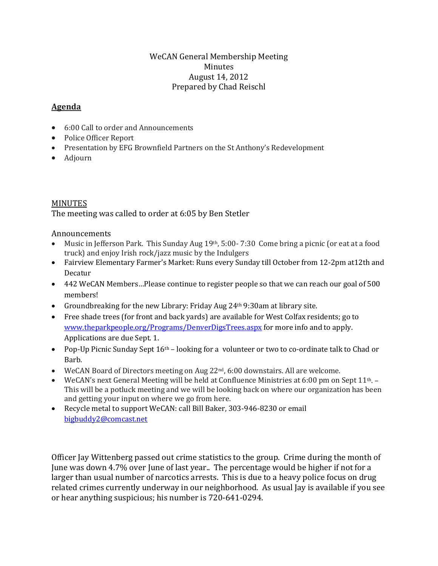## WeCAN General Membership Meeting Minutes August 14, 2012 Prepared by Chad Reischl

## **Agenda**

- 6:00 Call to order and Announcements
- Police Officer Report
- Presentation by EFG Brownfield Partners on the St Anthony's Redevelopment
- Adjourn

## MINUTES

The meeting was called to order at 6:05 by Ben Stetler

Announcements

- Music in Jefferson Park. This Sunday Aug 19th, 5:00-7:30 Come bring a picnic (or eat at a food truck) and enjoy Irish rock/jazz music by the Indulgers
- Fairview Elementary Farmer's Market: Runs every Sunday till October from 12-2pm at12th and Decatur
- 442 WeCAN Members...Please continue to register people so that we can reach our goal of 500 members!
- Groundbreaking for the new Library: Friday Aug 24<sup>th</sup> 9:30am at library site.
- Free shade trees (for front and back yards) are available for West Colfax residents; go to [www.theparkpeople.org/Programs/DenverDigsTrees.aspx](http://www.theparkpeople.org/Programs/DenverDigsTrees.aspx) for more info and to apply. Applications are due Sept. 1.
- Pop-Up Picnic Sunday Sept 16<sup>th</sup> looking for a volunteer or two to co-ordinate talk to Chad or Barb.
- WeCAN Board of Directors meeting on Aug  $22<sup>nd</sup>$ , 6:00 downstairs. All are welcome.
- WeCAN's next General Meeting will be held at Confluence Ministries at 6:00 pm on Sept  $11<sup>th</sup>$ . This will be a potluck meeting and we will be looking back on where our organization has been and getting your input on where we go from here.
- Recycle metal to support WeCAN: call Bill Baker, 303-946-8230 or email [bigbuddy2@comcast.net](mailto:bigbuddy2@comcast.net)

Officer Jay Wittenberg passed out crime statistics to the group. Crime during the month of June was down 4.7% over June of last year.. The percentage would be higher if not for a larger than usual number of narcotics arrests. This is due to a heavy police focus on drug related crimes currently underway in our neighborhood. As usual Jay is available if you see or hear anything suspicious; his number is 720-641-0294.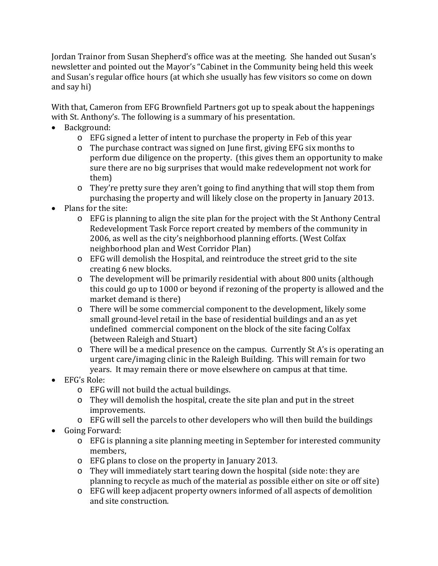Jordan Trainor from Susan Shepherd's office was at the meeting. She handed out Susan's newsletter and pointed out the Mayor's "Cabinet in the Community being held this week and Susan's regular office hours (at which she usually has few visitors so come on down and say hi)

With that, Cameron from EFG Brownfield Partners got up to speak about the happenings with St. Anthony's. The following is a summary of his presentation.

- Background:
	- o EFG signed a letter of intent to purchase the property in Feb of this year
	- o The purchase contract was signed on June first, giving EFG six months to perform due diligence on the property. (this gives them an opportunity to make sure there are no big surprises that would make redevelopment not work for them)
	- o They're pretty sure they aren't going to find anything that will stop them from purchasing the property and will likely close on the property in January 2013.
- Plans for the site:
	- $\circ$  EFG is planning to align the site plan for the project with the St Anthony Central Redevelopment Task Force report created by members of the community in 2006, as well as the city's neighborhood planning efforts. (West Colfax neighborhood plan and West Corridor Plan)
	- o EFG will demolish the Hospital, and reintroduce the street grid to the site creating 6 new blocks.
	- o The development will be primarily residential with about 800 units (although this could go up to 1000 or beyond if rezoning of the property is allowed and the market demand is there)
	- o There will be some commercial component to the development, likely some small ground-level retail in the base of residential buildings and an as yet undefined commercial component on the block of the site facing Colfax (between Raleigh and Stuart)
	- o There will be a medical presence on the campus. Currently St A's is operating an urgent care/imaging clinic in the Raleigh Building. This will remain for two years. It may remain there or move elsewhere on campus at that time.
- EFG's Role:
	- o EFG will not build the actual buildings.
	- o They will demolish the hospital, create the site plan and put in the street improvements.
	- o EFG will sell the parcels to other developers who will then build the buildings
- Going Forward:
	- o EFG is planning a site planning meeting in September for interested community members,
	- o EFG plans to close on the property in January 2013.
	- o They will immediately start tearing down the hospital (side note: they are planning to recycle as much of the material as possible either on site or off site)
	- o EFG will keep adjacent property owners informed of all aspects of demolition and site construction.